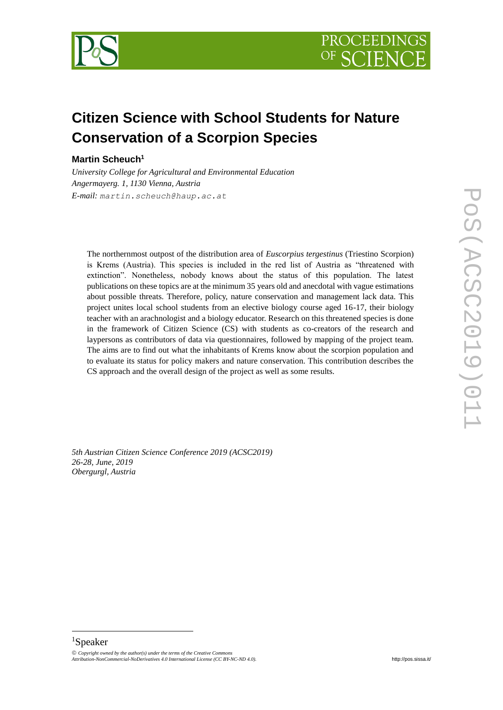



# **Citizen Science with School Students for Nature Conservation of a Scorpion Species**

## **Martin Scheuch<sup>1</sup>**

*University College for Agricultural and Environmental Education Angermayerg. 1, 1130 Vienna, Austria E-mail: martin.scheuch@haup.ac.at*

The northernmost outpost of the distribution area of *Euscorpius tergestinus* (Triestino Scorpion) is Krems (Austria). This species is included in the red list of Austria as "threatened with extinction". Nonetheless, nobody knows about the status of this population. The latest publications on these topics are at the minimum 35 years old and anecdotal with vague estimations about possible threats. Therefore, policy, nature conservation and management lack data. This project unites local school students from an elective biology course aged 16-17, their biology teacher with an arachnologist and a biology educator. Research on this threatened species is done in the framework of Citizen Science (CS) with students as co-creators of the research and laypersons as contributors of data via questionnaires, followed by mapping of the project team. The aims are to find out what the inhabitants of Krems know about the scorpion population and to evaluate its status for policy makers and nature conservation. This contribution describes the CS approach and the overall design of the project as well as some results.

*5th Austrian Citizen Science Conference 2019 (ACSC2019) 26-28, June, 2019 Obergurgl, Austria*

# <sup>1</sup>Speaker

-

 $\odot$  Copyright owned by the author(s) under the terms of the Creative Comn *Attribution-NonCommercial-NoDerivatives 4.0 International License (CC BY-NC-ND 4.0).* <http://pos.sissa.it/>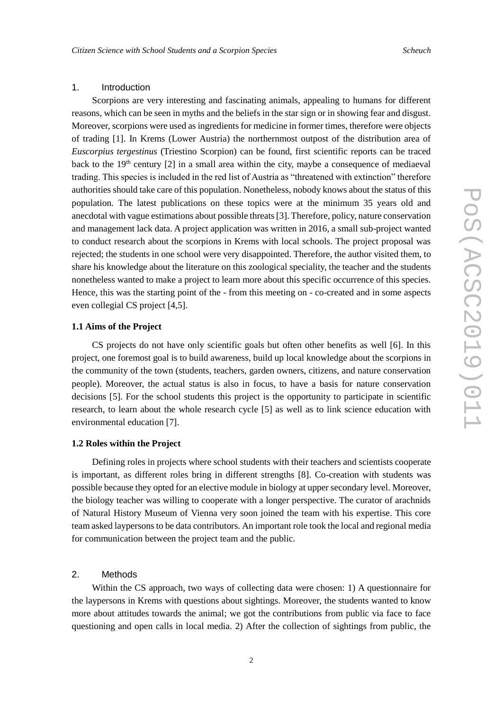#### 1. Introduction

Scorpions are very interesting and fascinating animals, appealing to humans for different reasons, which can be seen in myths and the beliefs in the star sign or in showing fear and disgust. Moreover, scorpions were used as ingredients for medicine in former times, therefore were objects of trading [1]. In Krems (Lower Austria) the northernmost outpost of the distribution area of *Euscorpius tergestinus* (Triestino Scorpion) can be found, first scientific reports can be traced back to the  $19<sup>th</sup>$  century  $[2]$  in a small area within the city, maybe a consequence of mediaeval trading. This species is included in the red list of Austria as "threatened with extinction" therefore authorities should take care of this population. Nonetheless, nobody knows about the status of this population. The latest publications on these topics were at the minimum 35 years old and anecdotal with vague estimations about possible threats [3]. Therefore, policy, nature conservation and management lack data. A project application was written in 2016, a small sub-project wanted to conduct research about the scorpions in Krems with local schools. The project proposal was rejected; the students in one school were very disappointed. Therefore, the author visited them, to share his knowledge about the literature on this zoological speciality, the teacher and the students nonetheless wanted to make a project to learn more about this specific occurrence of this species. Hence, this was the starting point of the - from this meeting on - co-created and in some aspects even collegial CS project [4,5].

## **1.1 Aims of the Project**

CS projects do not have only scientific goals but often other benefits as well [6]. In this project, one foremost goal is to build awareness, build up local knowledge about the scorpions in the community of the town (students, teachers, garden owners, citizens, and nature conservation people). Moreover, the actual status is also in focus, to have a basis for nature conservation decisions [5]. For the school students this project is the opportunity to participate in scientific research, to learn about the whole research cycle [5] as well as to link science education with environmental education [7].

#### **1.2 Roles within the Project**

Defining roles in projects where school students with their teachers and scientists cooperate is important, as different roles bring in different strengths [8]. Co-creation with students was possible because they opted for an elective module in biology at upper secondary level. Moreover, the biology teacher was willing to cooperate with a longer perspective. The curator of arachnids of Natural History Museum of Vienna very soon joined the team with his expertise. This core team asked laypersons to be data contributors. An important role took the local and regional media for communication between the project team and the public.

#### 2. Methods

Within the CS approach, two ways of collecting data were chosen: 1) A questionnaire for the laypersons in Krems with questions about sightings. Moreover, the students wanted to know more about attitudes towards the animal; we got the contributions from public via face to face questioning and open calls in local media. 2) After the collection of sightings from public, the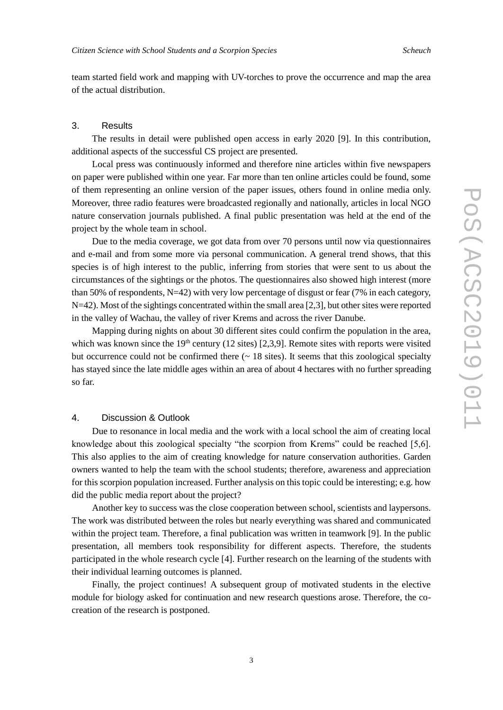team started field work and mapping with UV-torches to prove the occurrence and map the area of the actual distribution.

#### 3. Results

The results in detail were published open access in early 2020 [9]. In this contribution, additional aspects of the successful CS project are presented.

Local press was continuously informed and therefore nine articles within five newspapers on paper were published within one year. Far more than ten online articles could be found, some of them representing an online version of the paper issues, others found in online media only. Moreover, three radio features were broadcasted regionally and nationally, articles in local NGO nature conservation journals published. A final public presentation was held at the end of the project by the whole team in school.

Due to the media coverage, we got data from over 70 persons until now via questionnaires and e-mail and from some more via personal communication. A general trend shows, that this species is of high interest to the public, inferring from stories that were sent to us about the circumstances of the sightings or the photos. The questionnaires also showed high interest (more than 50% of respondents, N=42) with very low percentage of disgust or fear (7% in each category, N=42). Most of the sightings concentrated within the small area [2,3], but other sites were reported in the valley of Wachau, the valley of river Krems and across the river Danube.

Mapping during nights on about 30 different sites could confirm the population in the area, which was known since the  $19<sup>th</sup>$  century (12 sites) [2,3,9]. Remote sites with reports were visited but occurrence could not be confirmed there  $($   $\sim$  18 sites). It seems that this zoological specialty has stayed since the late middle ages within an area of about 4 hectares with no further spreading so far.

#### 4. Discussion & Outlook

Due to resonance in local media and the work with a local school the aim of creating local knowledge about this zoological specialty "the scorpion from Krems" could be reached [5,6]. This also applies to the aim of creating knowledge for nature conservation authorities. Garden owners wanted to help the team with the school students; therefore, awareness and appreciation for this scorpion population increased. Further analysis on this topic could be interesting; e.g. how did the public media report about the project?

Another key to success was the close cooperation between school, scientists and laypersons. The work was distributed between the roles but nearly everything was shared and communicated within the project team. Therefore, a final publication was written in teamwork [9]. In the public presentation, all members took responsibility for different aspects. Therefore, the students participated in the whole research cycle [4]. Further research on the learning of the students with their individual learning outcomes is planned.

Finally, the project continues! A subsequent group of motivated students in the elective module for biology asked for continuation and new research questions arose. Therefore, the cocreation of the research is postponed.